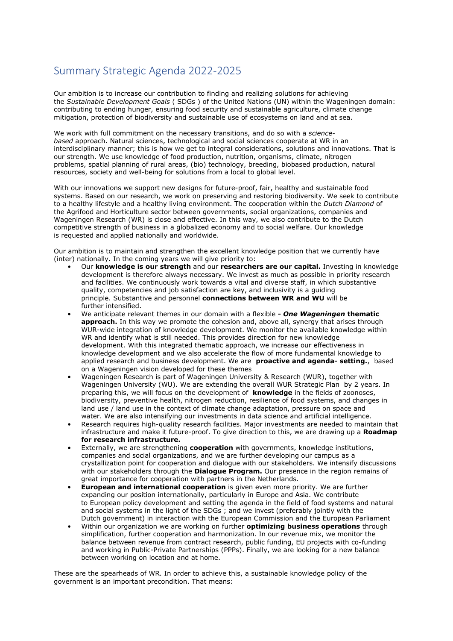## Summary Strategic Agenda 2022-2025

Our ambition is to increase our contribution to finding and realizing solutions for achieving the *Sustainable Development Goals* ( SDGs ) of the United Nations (UN) within the Wageningen domain: contributing to ending hunger, ensuring food security and sustainable agriculture, climate change mitigation, protection of biodiversity and sustainable use of ecosystems on land and at sea.

We work with full commitment on the necessary transitions, and do so with a *sciencebased* approach. Natural sciences, technological and social sciences cooperate at WR in an interdisciplinary manner; this is how we get to integral considerations, solutions and innovations. That is our strength. We use knowledge of food production, nutrition, organisms, climate, nitrogen problems, spatial planning of rural areas, (bio) technology, breeding, biobased production, natural resources, society and well-being for solutions from a local to global level.

With our innovations we support new designs for future-proof, fair, healthy and sustainable food systems. Based on our research, we work on preserving and restoring biodiversity. We seek to contribute to a healthy lifestyle and a healthy living environment. The cooperation within the *Dutch Diamond* of the Agrifood and Horticulture sector between governments, social organizations, companies and Wageningen Research (WR) is close and effective. In this way, we also contribute to the Dutch competitive strength of business in a globalized economy and to social welfare. Our knowledge is requested and applied nationally and worldwide.

Our ambition is to maintain and strengthen the excellent knowledge position that we currently have (inter) nationally. In the coming years we will give priority to:

- Our **knowledge is our strength** and our **researchers are our capital.** Investing in knowledge development is therefore always necessary. We invest as much as possible in priority research and facilities. We continuously work towards a vital and diverse staff, in which substantive quality, competencies and job satisfaction are key, and inclusivity is a guiding principle. Substantive and personnel **connections between WR and WU** will be further intensified.
- We anticipate relevant themes in our domain with a flexible **-** *One Wageningen* **thematic approach.** In this way we promote the cohesion and, above all, synergy that arises through WUR-wide integration of knowledge development. We monitor the available knowledge within WR and identify what is still needed. This provides direction for new knowledge development. With this integrated thematic approach, we increase our effectiveness in knowledge development and we also accelerate the flow of more fundamental knowledge to applied research and business development. We are **proactive and agenda- setting.**, based on a Wageningen vision developed for these themes
- Wageningen Research is part of Wageningen University & Research (WUR), together with Wageningen University (WU). We are extending the overall WUR Strategic Plan by 2 years. In preparing this, we will focus on the development of **knowledge** in the fields of zoonoses, biodiversity, preventive health, nitrogen reduction, resilience of food systems, and changes in land use / land use in the context of climate change adaptation, pressure on space and water. We are also intensifying our investments in data science and artificial intelligence.
- Research requires high-quality research facilities. Major investments are needed to maintain that infrastructure and make it future-proof. To give direction to this, we are drawing up a **Roadmap for research infrastructure.**
- Externally, we are strengthening **cooperation** with governments, knowledge institutions, companies and social organizations, and we are further developing our campus as a crystallization point for cooperation and dialogue with our stakeholders. We intensify discussions with our stakeholders through the **Dialogue Program.** Our presence in the region remains of great importance for cooperation with partners in the Netherlands.
- **European and international cooperation** is given even more priority. We are further expanding our position internationally, particularly in Europe and Asia. We contribute to European policy development and setting the agenda in the field of food systems and natural and social systems in the light of the SDGs ; and we invest (preferably jointly with the Dutch government) in interaction with the European Commission and the European Parliament
- Within our organization we are working on further **optimizing business operations** through simplification, further cooperation and harmonization. In our revenue mix, we monitor the balance between revenue from contract research, public funding, EU projects with co-funding and working in Public-Private Partnerships (PPPs). Finally, we are looking for a new balance between working on location and at home.

These are the spearheads of WR. In order to achieve this, a sustainable knowledge policy of the government is an important precondition. That means: